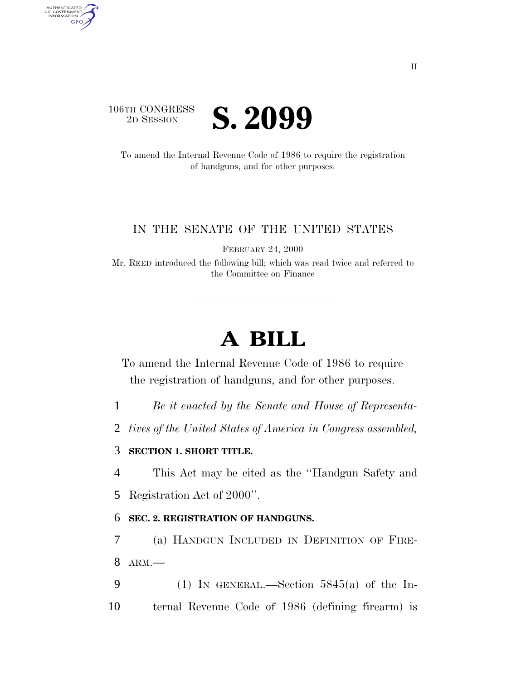

AUTHENTICATED<br>U.S. GOVERNMENT<br>INFORMATION GPO

> To amend the Internal Revenue Code of 1986 to require the registration of handguns, and for other purposes.

## IN THE SENATE OF THE UNITED STATES

FEBRUARY 24, 2000

Mr. REED introduced the following bill; which was read twice and referred to the Committee on Finance

## **A BILL**

To amend the Internal Revenue Code of 1986 to require the registration of handguns, and for other purposes.

- 1 *Be it enacted by the Senate and House of Representa-*
- 2 *tives of the United States of America in Congress assembled,*

## 3 **SECTION 1. SHORT TITLE.**

4 This Act may be cited as the ''Handgun Safety and

5 Registration Act of 2000''.

## 6 **SEC. 2. REGISTRATION OF HANDGUNS.**

7 (a) HANDGUN INCLUDED IN DEFINITION OF FIRE-8 ARM.—

9 (1) IN GENERAL.—Section  $5845(a)$  of the In-10 ternal Revenue Code of 1986 (defining firearm) is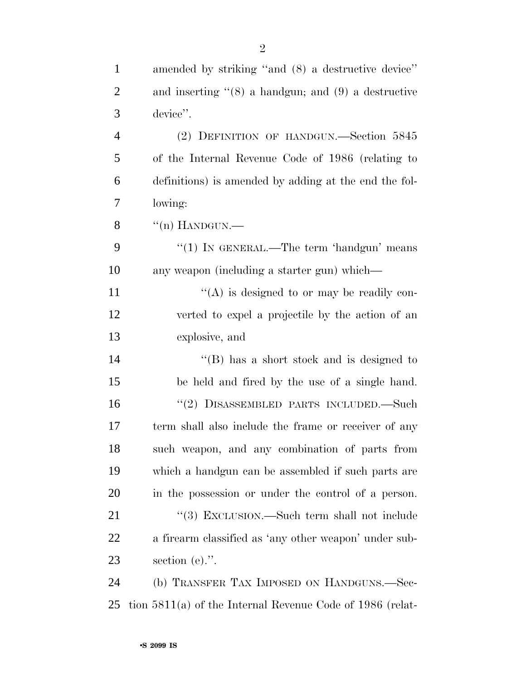| $\mathbf{1}$   | amended by striking "and (8) a destructive device"          |
|----------------|-------------------------------------------------------------|
| $\overline{2}$ | and inserting $(8)$ a handgun; and $(9)$ a destructive      |
| 3              | device".                                                    |
| $\overline{4}$ | (2) DEFINITION OF HANDGUN.—Section 5845                     |
| 5              | of the Internal Revenue Code of 1986 (relating to           |
| 6              | definitions) is amended by adding at the end the fol-       |
| 7              | lowing:                                                     |
| 8              | $\lq($ n) HANDGUN.—                                         |
| 9              | "(1) IN GENERAL.—The term 'handgun' means                   |
| 10             | any weapon (including a starter gun) which—                 |
| 11             | "(A) is designed to or may be readily con-                  |
| 12             | verted to expel a projectile by the action of an            |
| 13             | explosive, and                                              |
| 14             | $\lq\lq (B)$ has a short stock and is designed to           |
| 15             | be held and fired by the use of a single hand.              |
| 16             | "(2) DISASSEMBLED PARTS INCLUDED.—Such                      |
| 17             | term shall also include the frame or receiver of any        |
| 18             | such weapon, and any combination of parts from              |
| 19             | which a handgun can be assembled if such parts are          |
| 20             | in the possession or under the control of a person.         |
| 21             | "(3) EXCLUSION.—Such term shall not include                 |
| <u>22</u>      | a firearm classified as 'any other weapon' under sub-       |
| 23             | section $(e)$ .".                                           |
| 24             | (b) TRANSFER TAX IMPOSED ON HANDGUNS.—Sec-                  |
| 25             | tion $5811(a)$ of the Internal Revenue Code of 1986 (relat- |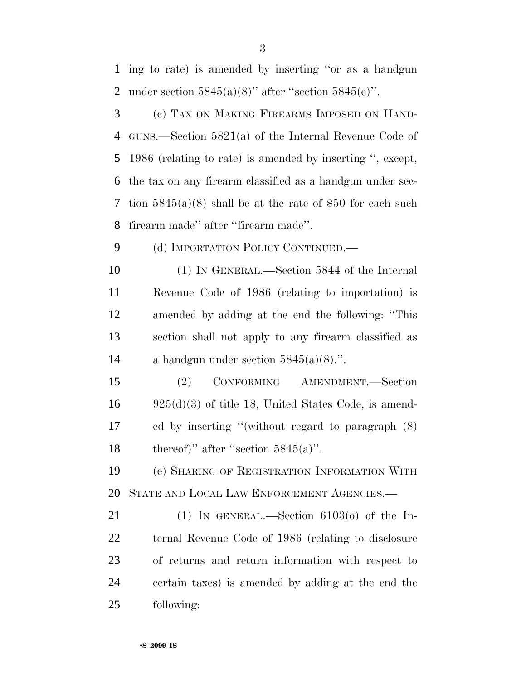ing to rate) is amended by inserting ''or as a handgun 2 under section  $5845(a)(8)$ " after "section  $5845(e)$ ". (c) TAX ON MAKING FIREARMS IMPOSED ON HAND- GUNS.—Section 5821(a) of the Internal Revenue Code of 1986 (relating to rate) is amended by inserting '', except, the tax on any firearm classified as a handgun under sec- tion 5845(a)(8) shall be at the rate of \$50 for each such firearm made'' after ''firearm made''. 9 (d) IMPORTATION POLICY CONTINUED. (1) IN GENERAL.—Section 5844 of the Internal Revenue Code of 1986 (relating to importation) is amended by adding at the end the following: ''This section shall not apply to any firearm classified as 14 a handgun under section  $5845(a)(8)$ .". (2) CONFORMING AMENDMENT.—Section 925(d)(3) of title 18, United States Code, is amend- ed by inserting ''(without regard to paragraph (8) 18 thereof)" after "section  $5845(a)$ ". (e) SHARING OF REGISTRATION INFORMATION WITH STATE AND LOCAL LAW ENFORCEMENT AGENCIES.— 21 (1) IN GENERAL.—Section  $6103<sub>o</sub>$  of the In- ternal Revenue Code of 1986 (relating to disclosure of returns and return information with respect to certain taxes) is amended by adding at the end the following: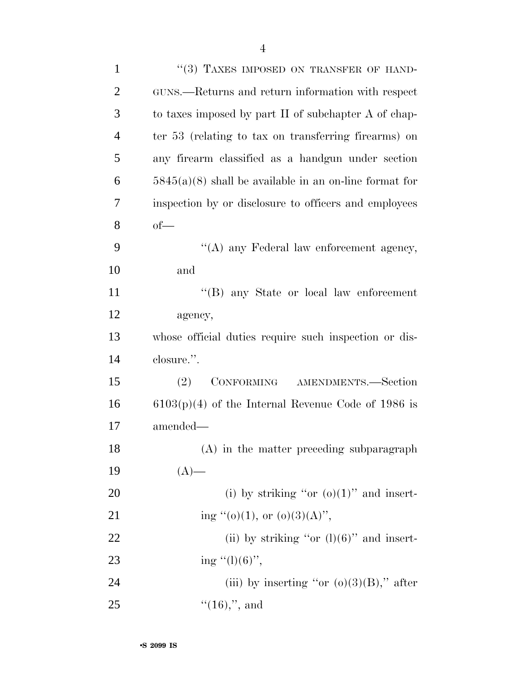| $\mathbf{1}$   | "(3) TAXES IMPOSED ON TRANSFER OF HAND-                  |
|----------------|----------------------------------------------------------|
| $\overline{2}$ | GUNS.—Returns and return information with respect        |
| 3              | to taxes imposed by part II of subchapter A of chap-     |
| $\overline{4}$ | ter 53 (relating to tax on transferring firearms) on     |
| 5              | any firearm classified as a handgun under section        |
| 6              | $5845(a)(8)$ shall be available in an on-line format for |
| 7              | inspection by or disclosure to officers and employees    |
| 8              | $of$ —                                                   |
| 9              | "(A) any Federal law enforcement agency,                 |
| 10             | and                                                      |
| 11             | "(B) any State or local law enforcement                  |
| 12             | agency,                                                  |
| 13             | whose official duties require such inspection or dis-    |
| 14             | closure.".                                               |
| 15             | CONFORMING<br>(2)<br>AMENDMENTS.-Section                 |
| 16             | $6103(p)(4)$ of the Internal Revenue Code of 1986 is     |
| 17             | amended—                                                 |
| 18             | (A) in the matter preceding subparagraph                 |
| 19             | $(A)$ —                                                  |
| 20             | (i) by striking "or $(o)(1)$ " and insert-               |
| 21             | ing "(o)(1), or (o)(3)(A)",                              |
| 22             | (ii) by striking "or $(l)(6)$ " and insert-              |
| 23             | ing $"(1)(6)"$ ,                                         |
| 24             | (iii) by inserting "or $(o)(3)(B)$ ," after              |
| 25             | $``(16),", \text{ and}$                                  |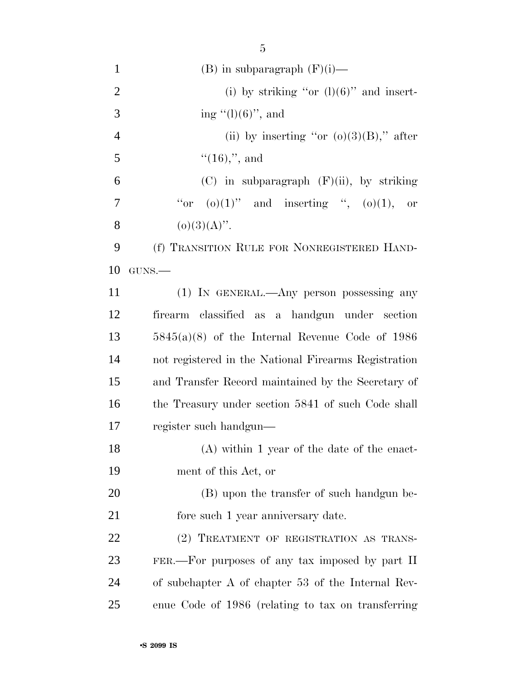| $\mathbf{1}$   | $(B)$ in subparagraph $(F)(i)$ —                     |
|----------------|------------------------------------------------------|
| $\overline{2}$ | (i) by striking "or $(l)(6)$ " and insert-           |
| 3              | ing $(1)(6)$ , and                                   |
| $\overline{4}$ | (ii) by inserting "or $(o)(3)(B)$ ," after           |
| 5              | $``(16),", \text{ and}$                              |
| 6              | $(C)$ in subparagraph $(F)(ii)$ , by striking        |
| 7              | "or $(o)(1)$ " and inserting ", $(o)(1)$ ,<br>or     |
| 8              | $(o)(3)(A)$ ".                                       |
| 9              | (f) TRANSITION RULE FOR NONREGISTERED HAND-          |
| 10             | GUNS.                                                |
| 11             | (1) IN GENERAL.—Any person possessing any            |
| 12             | firearm classified as a handgun under section        |
| 13             | $5845(a)(8)$ of the Internal Revenue Code of 1986    |
| 14             | not registered in the National Firearms Registration |
| 15             | and Transfer Record maintained by the Secretary of   |
| 16             | the Treasury under section 5841 of such Code shall   |
| 17             | register such handgun—                               |
| 18             | $(A)$ within 1 year of the date of the enact-        |
| 19             | ment of this Act, or                                 |
| 20             | (B) upon the transfer of such handgun be-            |
| 21             | fore such 1 year anniversary date.                   |
| <u>22</u>      | (2) TREATMENT OF REGISTRATION AS TRANS-              |
| 23             | FER.—For purposes of any tax imposed by part II      |
| 24             | of subchapter A of chapter 53 of the Internal Rev-   |
| 25             | enue Code of 1986 (relating to tax on transferring   |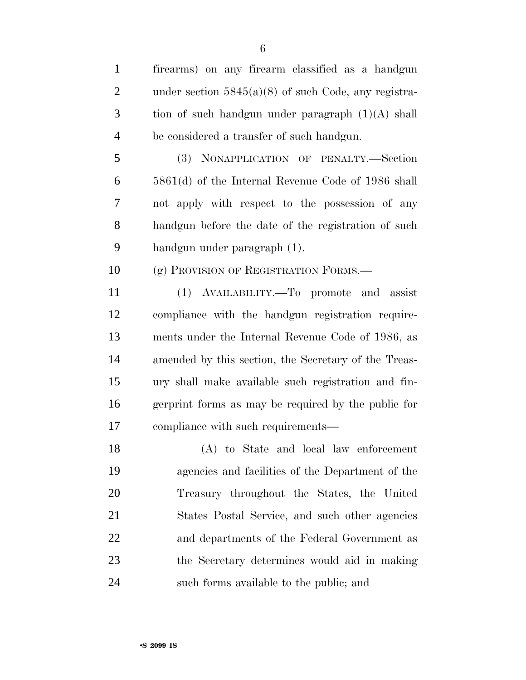| $\mathbf{1}$   | firearms) on any firearm classified as a handgun       |
|----------------|--------------------------------------------------------|
| $\overline{2}$ | under section $5845(a)(8)$ of such Code, any registra- |
| 3              | tion of such handgun under paragraph $(1)(A)$ shall    |
| $\overline{4}$ | be considered a transfer of such handgun.              |
| 5              | (3) NONAPPLICATION OF PENALTY.-Section                 |
| 6              | $5861(d)$ of the Internal Revenue Code of 1986 shall   |
| 7              | not apply with respect to the possession of any        |
| 8              | handgun before the date of the registration of such    |
| 9              | handgun under paragraph (1).                           |
| 10             | (g) PROVISION OF REGISTRATION FORMS.                   |
| 11             | (1) AVAILABILITY.—To promote and assist                |
| 12             | compliance with the handgun registration require-      |
| 13             | ments under the Internal Revenue Code of 1986, as      |
| 14             | amended by this section, the Secretary of the Treas-   |
| 15             | ury shall make available such registration and fin-    |
| 16             | gerprint forms as may be required by the public for    |
| 17             | compliance with such requirements—                     |
| 18             | (A) to State and local law enforcement                 |
| 19             | agencies and facilities of the Department of the       |
|                |                                                        |

 Treasury throughout the States, the United States Postal Service, and such other agencies and departments of the Federal Government as the Secretary determines would aid in making such forms available to the public; and